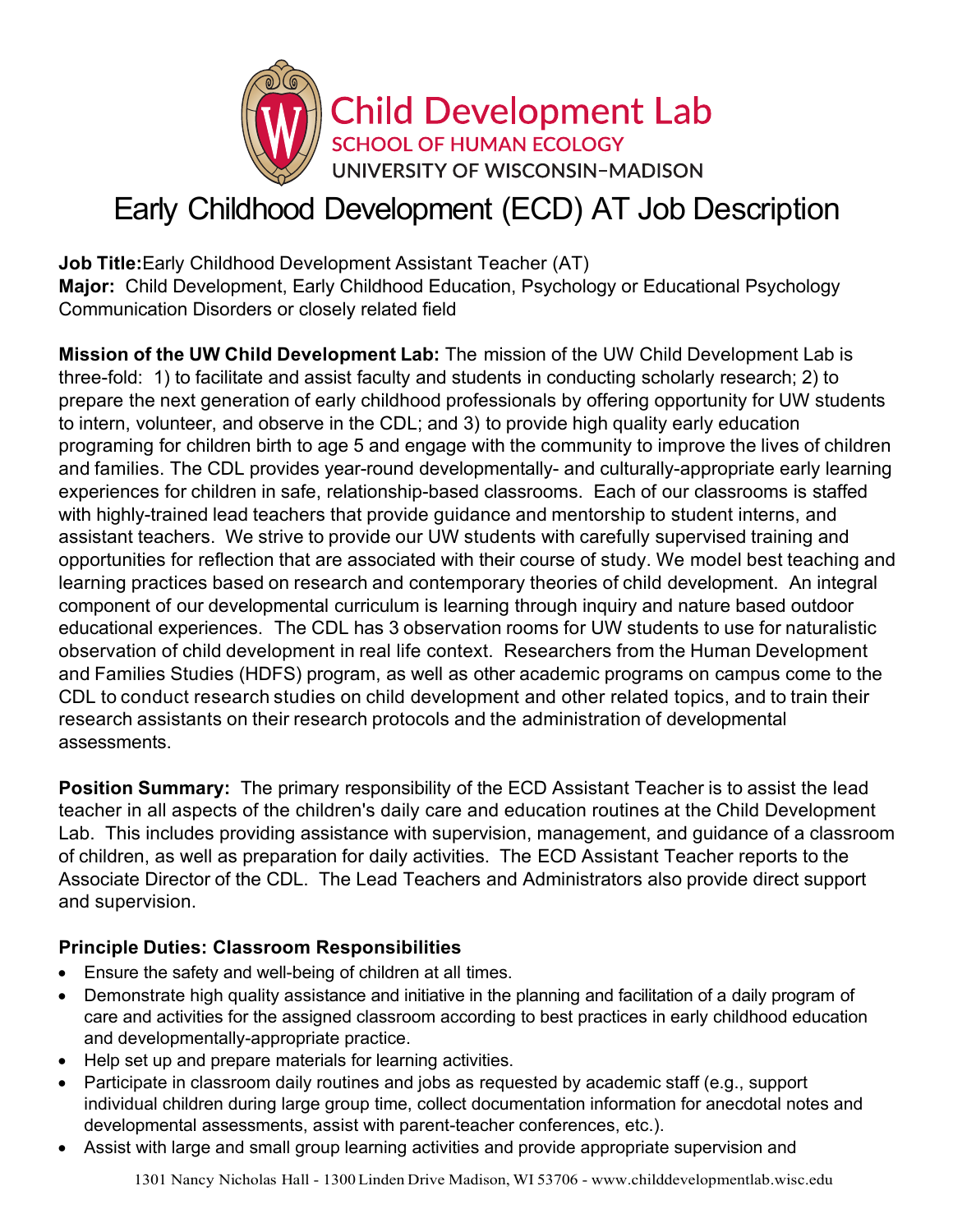

# Early Childhood Development (ECD) AT Job Description

**Job Title:**Early Childhood Development Assistant Teacher (AT) **Major:** Child Development, Early Childhood Education, Psychology or Educational Psychology Communication Disorders or closely related field

**Mission of the UW Child Development Lab:** The mission of the UW Child Development Lab is three-fold: 1) to facilitate and assist faculty and students in conducting scholarly research; 2) to prepare the next generation of early childhood professionals by offering opportunity for UW students to intern, volunteer, and observe in the CDL; and 3) to provide high quality early education programing for children birth to age 5 and engage with the community to improve the lives of children and families. The CDL provides year-round developmentally- and culturally-appropriate early learning experiences for children in safe, relationship-based classrooms. Each of our classrooms is staffed with highly-trained lead teachers that provide guidance and mentorship to student interns, and assistant teachers. We strive to provide our UW students with carefully supervised training and opportunities for reflection that are associated with their course of study. We model best teaching and learning practices based on research and contemporary theories of child development. An integral component of our developmental curriculum is learning through inquiry and nature based outdoor educational experiences. The CDL has 3 observation rooms for UW students to use for naturalistic observation of child development in real life context. Researchers from the Human Development and Families Studies (HDFS) program, as well as other academic programs on campus come to the CDL to conduct research studies on child development and other related topics, and to train their research assistants on their research protocols and the administration of developmental assessments.

**Position Summary:** The primary responsibility of the ECD Assistant Teacher is to assist the lead teacher in all aspects of the children's daily care and education routines at the Child Development Lab. This includes providing assistance with supervision, management, and guidance of a classroom of children, as well as preparation for daily activities. The ECD Assistant Teacher reports to the Associate Director of the CDL. The Lead Teachers and Administrators also provide direct support and supervision.

## **Principle Duties: Classroom Responsibilities**

- Ensure the safety and well-being of children at all times.
- Demonstrate high quality assistance and initiative in the planning and facilitation of a daily program of care and activities for the assigned classroom according to best practices in early childhood education and developmentally-appropriate practice.
- Help set up and prepare materials for learning activities.
- Participate in classroom daily routines and jobs as requested by academic staff (e.g., support individual children during large group time, collect documentation information for anecdotal notes and developmental assessments, assist with parent-teacher conferences, etc.).
- Assist with large and small group learning activities and provide appropriate supervision and